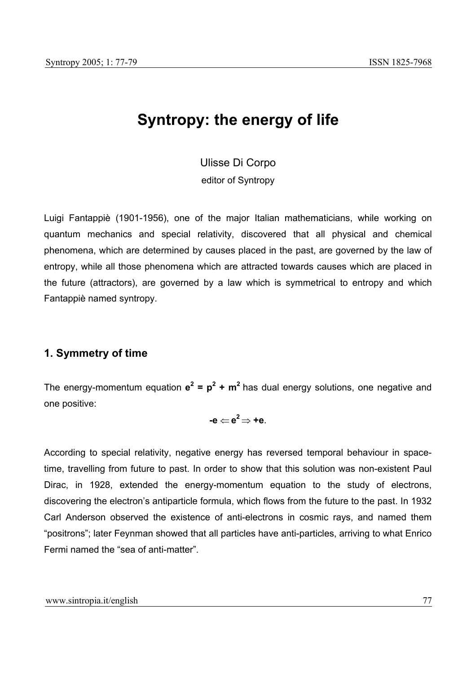# **Syntropy: the energy of life**

Ulisse Di Corpo

editor of Syntropy

Luigi Fantappiè (1901-1956), one of the major Italian mathematicians, while working on quantum mechanics and special relativity, discovered that all physical and chemical phenomena, which are determined by causes placed in the past, are governed by the law of entropy, while all those phenomena which are attracted towards causes which are placed in the future (attractors), are governed by a law which is symmetrical to entropy and which Fantappiè named syntropy.

## **1. Symmetry of time**

The energy-momentum equation  $e^2 = p^2 + m^2$  has dual energy solutions, one negative and one positive:

$$
\textbf{-e}\mathop{\leftarrow} \textbf{e}^2\mathop{\Rightarrow} \textbf{+e}.
$$

According to special relativity, negative energy has reversed temporal behaviour in spacetime, travelling from future to past. In order to show that this solution was non-existent Paul Dirac, in 1928, extended the energy-momentum equation to the study of electrons, discovering the electron's antiparticle formula, which flows from the future to the past. In 1932 Carl Anderson observed the existence of anti-electrons in cosmic rays, and named them "positrons"; later Feynman showed that all particles have anti-particles, arriving to what Enrico Fermi named the "sea of anti-matter".

www.sintropia.it/english 77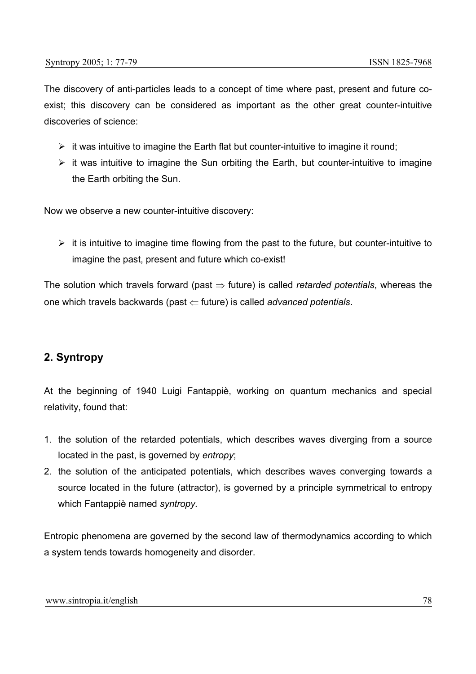The discovery of anti-particles leads to a concept of time where past, present and future coexist; this discovery can be considered as important as the other great counter-intuitive discoveries of science:

- $\triangleright$  it was intuitive to imagine the Earth flat but counter-intuitive to imagine it round;
- $\triangleright$  it was intuitive to imagine the Sun orbiting the Earth, but counter-intuitive to imagine the Earth orbiting the Sun.

Now we observe a new counter-intuitive discovery:

 $\triangleright$  it is intuitive to imagine time flowing from the past to the future, but counter-intuitive to imagine the past, present and future which co-exist!

The solution which travels forward (past ⇒ future) is called *retarded potentials*, whereas the one which travels backwards (past ⇐ future) is called *advanced potentials*.

### **2. Syntropy**

At the beginning of 1940 Luigi Fantappiè, working on quantum mechanics and special relativity, found that:

- 1. the solution of the retarded potentials, which describes waves diverging from a source located in the past, is governed by *entropy*;
- 2. the solution of the anticipated potentials, which describes waves converging towards a source located in the future (attractor), is governed by a principle symmetrical to entropy which Fantappiè named *syntropy.*

Entropic phenomena are governed by the second law of thermodynamics according to which a system tends towards homogeneity and disorder.